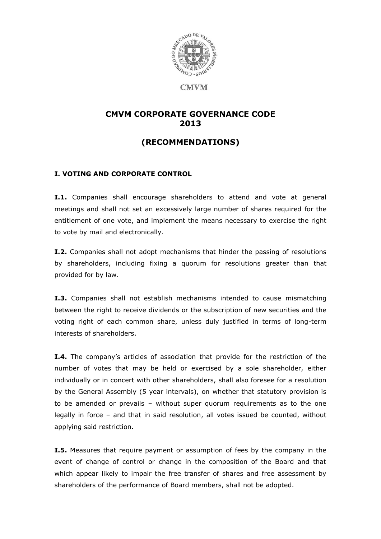

**CMVM** 

# **CMVM CORPORATE GOVERNANCE CODE 2013**

# **(RECOMMENDATIONS)**

## **I. VOTING AND CORPORATE CONTROL**

**I.1.** Companies shall encourage shareholders to attend and vote at general meetings and shall not set an excessively large number of shares required for the entitlement of one vote, and implement the means necessary to exercise the right to vote by mail and electronically.

**I.2.** Companies shall not adopt mechanisms that hinder the passing of resolutions by shareholders, including fixing a quorum for resolutions greater than that provided for by law.

**I.3.** Companies shall not establish mechanisms intended to cause mismatching between the right to receive dividends or the subscription of new securities and the voting right of each common share, unless duly justified in terms of long-term interests of shareholders.

**I.4.** The company's articles of association that provide for the restriction of the number of votes that may be held or exercised by a sole shareholder, either individually or in concert with other shareholders, shall also foresee for a resolution by the General Assembly (5 year intervals), on whether that statutory provision is to be amended or prevails – without super quorum requirements as to the one legally in force – and that in said resolution, all votes issued be counted, without applying said restriction.

**I.5.** Measures that require payment or assumption of fees by the company in the event of change of control or change in the composition of the Board and that which appear likely to impair the free transfer of shares and free assessment by shareholders of the performance of Board members, shall not be adopted.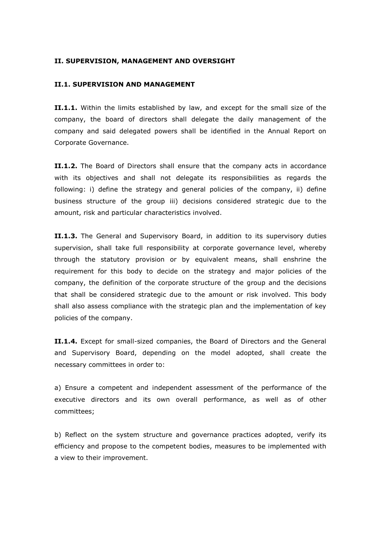#### **II. SUPERVISION, MANAGEMENT AND OVERSIGHT**

#### **II.1. SUPERVISION AND MANAGEMENT**

**II.1.1.** Within the limits established by law, and except for the small size of the company, the board of directors shall delegate the daily management of the company and said delegated powers shall be identified in the Annual Report on Corporate Governance.

**II.1.2.** The Board of Directors shall ensure that the company acts in accordance with its objectives and shall not delegate its responsibilities as regards the following: i) define the strategy and general policies of the company, ii) define business structure of the group iii) decisions considered strategic due to the amount, risk and particular characteristics involved.

**II.1.3.** The General and Supervisory Board, in addition to its supervisory duties supervision, shall take full responsibility at corporate governance level, whereby through the statutory provision or by equivalent means, shall enshrine the requirement for this body to decide on the strategy and major policies of the company, the definition of the corporate structure of the group and the decisions that shall be considered strategic due to the amount or risk involved. This body shall also assess compliance with the strategic plan and the implementation of key policies of the company.

**II.1.4.** Except for small-sized companies, the Board of Directors and the General and Supervisory Board, depending on the model adopted, shall create the necessary committees in order to:

a) Ensure a competent and independent assessment of the performance of the executive directors and its own overall performance, as well as of other committees;

b) Reflect on the system structure and governance practices adopted, verify its efficiency and propose to the competent bodies, measures to be implemented with a view to their improvement.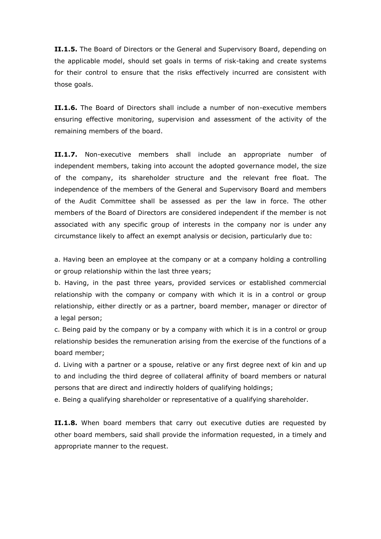**II.1.5.** The Board of Directors or the General and Supervisory Board, depending on the applicable model, should set goals in terms of risk-taking and create systems for their control to ensure that the risks effectively incurred are consistent with those goals.

**II.1.6.** The Board of Directors shall include a number of non-executive members ensuring effective monitoring, supervision and assessment of the activity of the remaining members of the board.

**II.1.7.** Non-executive members shall include an appropriate number of independent members, taking into account the adopted governance model, the size of the company, its shareholder structure and the relevant free float. The independence of the members of the General and Supervisory Board and members of the Audit Committee shall be assessed as per the law in force. The other members of the Board of Directors are considered independent if the member is not associated with any specific group of interests in the company nor is under any circumstance likely to affect an exempt analysis or decision, particularly due to:

a. Having been an employee at the company or at a company holding a controlling or group relationship within the last three years;

b. Having, in the past three years, provided services or established commercial relationship with the company or company with which it is in a control or group relationship, either directly or as a partner, board member, manager or director of a legal person;

c. Being paid by the company or by a company with which it is in a control or group relationship besides the remuneration arising from the exercise of the functions of a board member;

d. Living with a partner or a spouse, relative or any first degree next of kin and up to and including the third degree of collateral affinity of board members or natural persons that are direct and indirectly holders of qualifying holdings;

e. Being a qualifying shareholder or representative of a qualifying shareholder.

**II.1.8.** When board members that carry out executive duties are requested by other board members, said shall provide the information requested, in a timely and appropriate manner to the request.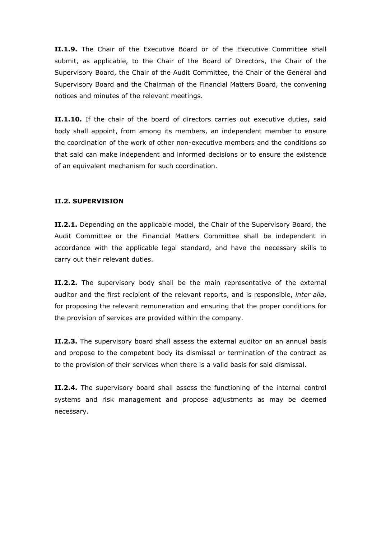**II.1.9.** The Chair of the Executive Board or of the Executive Committee shall submit, as applicable, to the Chair of the Board of Directors, the Chair of the Supervisory Board, the Chair of the Audit Committee, the Chair of the General and Supervisory Board and the Chairman of the Financial Matters Board, the convening notices and minutes of the relevant meetings.

**II.1.10.** If the chair of the board of directors carries out executive duties, said body shall appoint, from among its members, an independent member to ensure the coordination of the work of other non-executive members and the conditions so that said can make independent and informed decisions or to ensure the existence of an equivalent mechanism for such coordination.

### **II.2. SUPERVISION**

**II.2.1.** Depending on the applicable model, the Chair of the Supervisory Board, the Audit Committee or the Financial Matters Committee shall be independent in accordance with the applicable legal standard, and have the necessary skills to carry out their relevant duties.

**II.2.2.** The supervisory body shall be the main representative of the external auditor and the first recipient of the relevant reports, and is responsible, *inter alia*, for proposing the relevant remuneration and ensuring that the proper conditions for the provision of services are provided within the company.

**II.2.3.** The supervisory board shall assess the external auditor on an annual basis and propose to the competent body its dismissal or termination of the contract as to the provision of their services when there is a valid basis for said dismissal.

**II.2.4.** The supervisory board shall assess the functioning of the internal control systems and risk management and propose adjustments as may be deemed necessary.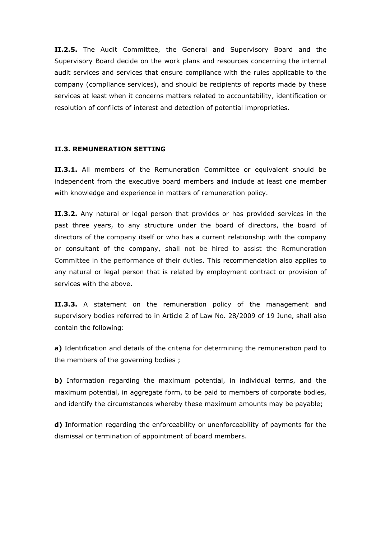**II.2.5.** The Audit Committee, the General and Supervisory Board and the Supervisory Board decide on the work plans and resources concerning the internal audit services and services that ensure compliance with the rules applicable to the company (compliance services), and should be recipients of reports made by these services at least when it concerns matters related to accountability, identification or resolution of conflicts of interest and detection of potential improprieties.

#### **II.3. REMUNERATION SETTING**

**II.3.1.** All members of the Remuneration Committee or equivalent should be independent from the executive board members and include at least one member with knowledge and experience in matters of remuneration policy.

**II.3.2.** Any natural or legal person that provides or has provided services in the past three years, to any structure under the board of directors, the board of directors of the company itself or who has a current relationship with the company or consultant of the company, shall not be hired to assist the Remuneration Committee in the performance of their duties. This recommendation also applies to any natural or legal person that is related by employment contract or provision of services with the above.

**II.3.3.** A statement on the remuneration policy of the management and supervisory bodies referred to in Article 2 of Law No. 28/2009 of 19 June, shall also contain the following:

**a)** Identification and details of the criteria for determining the remuneration paid to the members of the governing bodies ;

**b)** Information regarding the maximum potential, in individual terms, and the maximum potential, in aggregate form, to be paid to members of corporate bodies, and identify the circumstances whereby these maximum amounts may be payable;

**d)** Information regarding the enforceability or unenforceability of payments for the dismissal or termination of appointment of board members.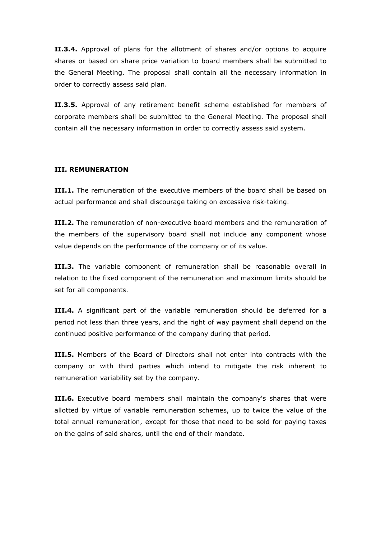**II.3.4.** Approval of plans for the allotment of shares and/or options to acquire shares or based on share price variation to board members shall be submitted to the General Meeting. The proposal shall contain all the necessary information in order to correctly assess said plan.

**II.3.5.** Approval of any retirement benefit scheme established for members of corporate members shall be submitted to the General Meeting. The proposal shall contain all the necessary information in order to correctly assess said system.

#### **III. REMUNERATION**

**III.1.** The remuneration of the executive members of the board shall be based on actual performance and shall discourage taking on excessive risk-taking.

**III.2.** The remuneration of non-executive board members and the remuneration of the members of the supervisory board shall not include any component whose value depends on the performance of the company or of its value.

**III.3.** The variable component of remuneration shall be reasonable overall in relation to the fixed component of the remuneration and maximum limits should be set for all components.

**III.4.** A significant part of the variable remuneration should be deferred for a period not less than three years, and the right of way payment shall depend on the continued positive performance of the company during that period.

**III.5.** Members of the Board of Directors shall not enter into contracts with the company or with third parties which intend to mitigate the risk inherent to remuneration variability set by the company.

**III.6.** Executive board members shall maintain the company's shares that were allotted by virtue of variable remuneration schemes, up to twice the value of the total annual remuneration, except for those that need to be sold for paying taxes on the gains of said shares, until the end of their mandate.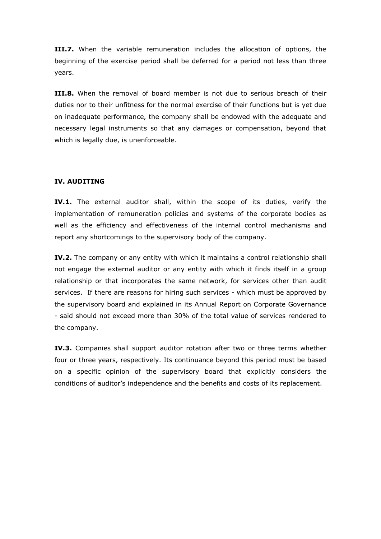**III.7.** When the variable remuneration includes the allocation of options, the beginning of the exercise period shall be deferred for a period not less than three years.

**III.8.** When the removal of board member is not due to serious breach of their duties nor to their unfitness for the normal exercise of their functions but is yet due on inadequate performance, the company shall be endowed with the adequate and necessary legal instruments so that any damages or compensation, beyond that which is legally due, is unenforceable.

### **IV. AUDITING**

**IV.1.** The external auditor shall, within the scope of its duties, verify the implementation of remuneration policies and systems of the corporate bodies as well as the efficiency and effectiveness of the internal control mechanisms and report any shortcomings to the supervisory body of the company.

**IV.2.** The company or any entity with which it maintains a control relationship shall not engage the external auditor or any entity with which it finds itself in a group relationship or that incorporates the same network, for services other than audit services. If there are reasons for hiring such services - which must be approved by the supervisory board and explained in its Annual Report on Corporate Governance - said should not exceed more than 30% of the total value of services rendered to the company.

**IV.3.** Companies shall support auditor rotation after two or three terms whether four or three years, respectively. Its continuance beyond this period must be based on a specific opinion of the supervisory board that explicitly considers the conditions of auditor's independence and the benefits and costs of its replacement.